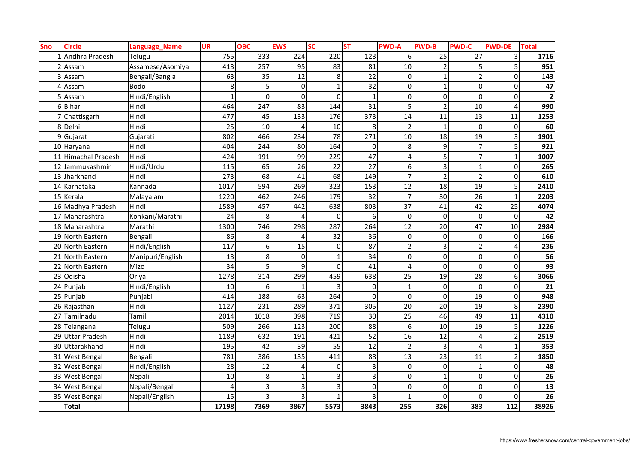| <b>Sno</b> | <b>Circle</b>           | Language_Name    | <b>UR</b>    | <b>OBC</b>  | <b>EWS</b>   | <b>SC</b>    | <b>ST</b>   | <b>PWD-A</b>   | <b>PWD-B</b>   | <b>PWD-C</b>             | <b>PWD-DE</b>  | <b>Total</b>            |
|------------|-------------------------|------------------|--------------|-------------|--------------|--------------|-------------|----------------|----------------|--------------------------|----------------|-------------------------|
|            | Andhra Pradesh          | Telugu           | 755          | 333         | 224          | 220          | 123         | 6              | 25             | 27                       | 3              | 1716                    |
|            | Assam                   | Assamese/Asomiya | 413          | 257         | 95           | 83           | 81          | 10             | $\overline{2}$ |                          | 5              | 951                     |
|            | Assam                   | Bengali/Bangla   | 63           | 35          | 12           | 8            | 22          | 0              | $\mathbf{1}$   |                          | $\Omega$       | 143                     |
|            | Assam                   | <b>Bodo</b>      | 8            | 5           | $\mathbf 0$  |              | 32          | 0              | $\mathbf{1}$   | 0                        | $\Omega$       | 47                      |
|            | Assam                   | Hindi/English    | $\mathbf{1}$ | $\mathbf 0$ | $\mathbf 0$  | 0            | $\mathbf 1$ | 0              | $\mathbf 0$    | $\mathbf 0$              | $\Omega$       | $\overline{\mathbf{c}}$ |
| 6          | <b>Bihar</b>            | Hindi            | 464          | 247         | 83           | 144          | 31          | 5              | $\overline{2}$ | 10                       | 4              | 990                     |
|            | Chattisgarh             | Hindi            | 477          | 45          | 133          | 176          | 373         | 14             | 11             | 13                       | 11             | 1253                    |
|            | Delhi                   | Hindi            | 25           | 10          | Δ            | 10           | 8           | $\overline{2}$ | $\mathbf{1}$   | $\Omega$                 | 0              | 60                      |
|            | Gujarat                 | Gujarati         | 802          | 466         | 234          | 78           | 271         | 10             | 18             | 19                       | 3              | 1901                    |
|            | 10 Haryana              | Hindi            | 404          | 244         | 80           | 164          | 0           | 8              | 9              |                          | 5              | 921                     |
| 11         | <b>Himachal Pradesh</b> | Hindi            | 424          | 191         | 99           | 229          | 47          | 4              | 5              | 7                        |                | 1007                    |
| 12         | Jammukashmir            | Hindi/Urdu       | 115          | 65          | 26           | 22           | 27          | 6              | 3              | 1                        | $\Omega$       | 265                     |
| 13         | Jharkhand               | Hindi            | 273          | 68          | 41           | 68           | 149         | $\overline{7}$ | $\overline{2}$ | $\overline{2}$           | 0              | 610                     |
| 14         | Karnataka               | Kannada          | 1017         | 594         | 269          | 323          | 153         | 12             | 18             | 19                       | 5              | 2410                    |
| 15         | Kerala                  | Malayalam        | 1220         | 462         | 246          | 179          | 32          | $\overline{7}$ | 30             | 26                       | $\mathbf{1}$   | 2203                    |
|            | 16 Madhya Pradesh       | Hindi            | 1589         | 457         | 442          | 638          | 803         | 37             | 41             | 42                       | 25             | 4074                    |
| 17         | Maharashtra             | Konkani/Marathi  | 24           | 8           | 4            | $\Omega$     | 6           | $\mathbf 0$    | $\Omega$       | $\Omega$                 | $\Omega$       | 42                      |
|            | 18 Maharashtra          | Marathi          | 1300         | 746         | 298          | 287          | 264         | 12             | 20             | 47                       | 10             | 2984                    |
| 19         | North Eastern           | Bengali          | 86           | 8           | 4            | 32           | 36          | $\mathbf 0$    | $\pmb{0}$      | 0                        | $\mathbf 0$    | 166                     |
|            | 20 North Eastern        | Hindi/English    | 117          | 6           | 15           | $\mathbf 0$  | 87          | $\overline{2}$ | 3              | $\overline{\phantom{a}}$ | 4              | 236                     |
| 21         | North Eastern           | Manipuri/English | 13           | 8           | $\mathbf 0$  | $\mathbf{1}$ | 34          | $\mathbf 0$    | $\mathbf 0$    | 0                        | $\Omega$       | 56                      |
| 22         | North Eastern           | Mizo             | 34           | 5           | 9            | 0            | 41          | 4              | $\mathbf 0$    | 0                        | 0              | 93                      |
| 23         | Odisha                  | Oriya            | 1278         | 314         | 299          | 459          | 638         | 25             | 19             | 28                       | 6              | 3066                    |
| 24         | Punjab                  | Hindi/English    | 10           | 6           |              |              | 0           | $\mathbf{1}$   | $\mathbf 0$    | $\Omega$                 | $\Omega$       | $\overline{21}$         |
|            | 25 Punjab               | Punjabi          | 414          | 188         | 63           | 264          | $\Omega$    | $\pmb{0}$      | $\mathbf 0$    | 19                       | $\Omega$       | 948                     |
|            | 26 Rajasthan            | Hindi            | 1127         | 231         | 289          | 371          | 305         | 20             | 20             | 19                       | 8              | 2390                    |
| 27         | Tamilnadu               | Tamil            | 2014         | 1018        | 398          | 719          | 30          | 25             | 46             | 49                       | 11             | 4310                    |
| 28         | Telangana               | Telugu           | 509          | 266         | 123          | 200          | 88          | 6              | 10             | 19                       | 5              | 1226                    |
| 29         | <b>Uttar Pradesh</b>    | Hindi            | 1189         | 632         | 191          | 421          | 52          | 16             | 12             | 4                        | $\overline{2}$ | 2519                    |
|            | 30 Uttarakhand          | Hindi            | 195          | 42          | 39           | 55           | 12          | $\overline{2}$ | 3              | 4                        | $\mathbf{1}$   | 353                     |
|            | 31 West Bengal          | Bengali          | 781          | 386         | 135          | 411          | 88          | 13             | 23             | 11                       | $\overline{2}$ | 1850                    |
|            | 32 West Bengal          | Hindi/English    | 28           | 12          | 4            | 0            | 3           | $\mathbf 0$    | $\mathbf 0$    | $\mathbf{1}$             | $\Omega$       | 48                      |
|            | 33 West Bengal          | Nepali           | 10           | 8           | $\mathbf{1}$ | 3            | 3           | 0              | $\mathbf{1}$   | 0                        | $\Omega$       | 26                      |
|            | 34 West Bengal          | Nepali/Bengali   | 4            | 3           | 3            | 3            | 0           | 0              | $\mathbf 0$    | 0                        | $\Omega$       | 13                      |
|            | 35 West Bengal          | Nepali/English   | 15           | 3           |              |              | 3           | $\mathbf{1}$   | $\Omega$       | $\Omega$                 | 0              | 26                      |
|            | <b>Total</b>            |                  | 17198        | 7369        | 3867         | 5573         | 3843        | 255            | 326            | 383                      | 112            | 38926                   |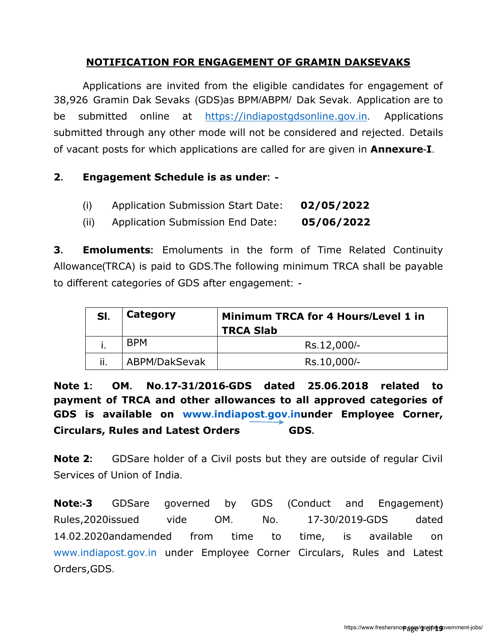# **NOTIFICATION FOR ENGAGEMENT OF GRAMIN DAKSEVAKS**

Applications are invited from the eligible candidates for engagement of 38,926 Gramin Dak Sevaks (GDS)as BPM/ABPM/ Dak Sevak. Application are to be submitted online at [https://indiapostgdsonline.gov](https://indiapostgdsonline.gov.in/).in. Applications submitted through any other mode will not be considered and rejected. Details of vacant posts for which applications are called for are given in **Annexure**-**I**.

### **2. Engagement Schedule is as under: -**

| (i) | Application Submission Start Date: | 02/05/2022 |
|-----|------------------------------------|------------|
|     |                                    |            |

(ii) Application Submission End Date: **05/06/2022**

**3. Emoluments:** Emoluments in the form of Time Related Continuity Allowance(TRCA) is paid to GDS.The following minimum TRCA shall be payable to different categories of GDS after engagement: -

| SI. | Category      | Minimum TRCA for 4 Hours/Level 1 in<br><b>TRCA Slab</b> |  |  |
|-----|---------------|---------------------------------------------------------|--|--|
|     | <b>BPM</b>    | Rs.12,000/-                                             |  |  |
| ii. | ABPM/DakSevak | Rs.10,000/-                                             |  |  |

**Note 1: OM. No.17-31/2016-GDS dated 25.06.2018 related to payment of TRCA and other allowances to all approved categories of GDS is available on www.[indiapost](http://www.indiapost.gov.in/).gov.inunder Employee Corner, [Circulars, Rules and Latest Orders](https://utilities.cept.gov.in/DOP/ViewUploads.aspx?uid=10) GDS.** 

**Note 2:** GDSare holder of a Civil posts but they are outside of regular Civil Services of Union of India.

**Note:-3** GDSare governed by GDS (Conduct and Engagement) Rules,2020issued vide OM. No. 17-30/2019-GDS dated 14.02.2020andamended from time to time, is available on www.[indiapost](http://www.indiapost.gov.in/).gov.in under Employee Corner [Circulars, Rules and Latest](https://utilities.cept.gov.in/DOP/ViewUploads.aspx?uid=10)  [Orders,](https://utilities.cept.gov.in/DOP/ViewUploads.aspx?uid=10)GDS.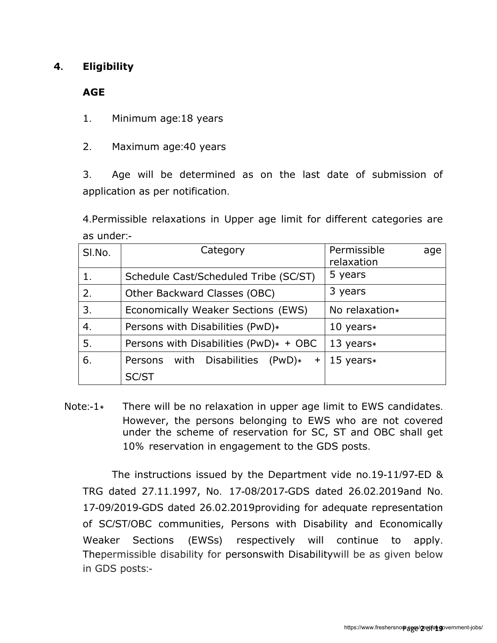# **4. Eligibility**

**AGE**

1. Minimum age:18 years

2. Maximum age:40 years

3. Age will be determined as on the last date of submission of application as per notification.

4.Permissible relaxations in Upper age limit for different categories are as under:-

| SI.No. | Category                                | Permissible<br>age<br>relaxation |
|--------|-----------------------------------------|----------------------------------|
|        | Schedule Cast/Scheduled Tribe (SC/ST)   | 5 years                          |
| 2.     | Other Backward Classes (OBC)            | 3 years                          |
| 3.     | Economically Weaker Sections (EWS)      | No relaxation*                   |
| 4.     | Persons with Disabilities (PwD)*        | 10 years $*$                     |
| 5.     | Persons with Disabilities (PwD)* + OBC  | 13 years $*$                     |
| 6.     | Persons with Disabilities (PwD)*<br>$+$ | 15 years $*$                     |
|        | <b>SC/ST</b>                            |                                  |

Note:-1 $*$  There will be no relaxation in upper age limit to EWS candidates. However, the persons belonging to EWS who are not covered under the scheme of reservation for SC, ST and OBC shall get 10% reservation in engagement to the GDS posts.

The instructions issued by the Department vide no.19-11/97-ED & TRG dated 27.11.1997, No. 17-08/2017-GDS dated 26.02.2019and No. 17-09/2019-GDS dated 26.02.2019providing for adequate representation of SC/ST/OBC communities, Persons with Disability and Economically Weaker Sections (EWSs) respectively will continue to apply. Thepermissible disability for personswith Disabilitywill be as given below in GDS posts:-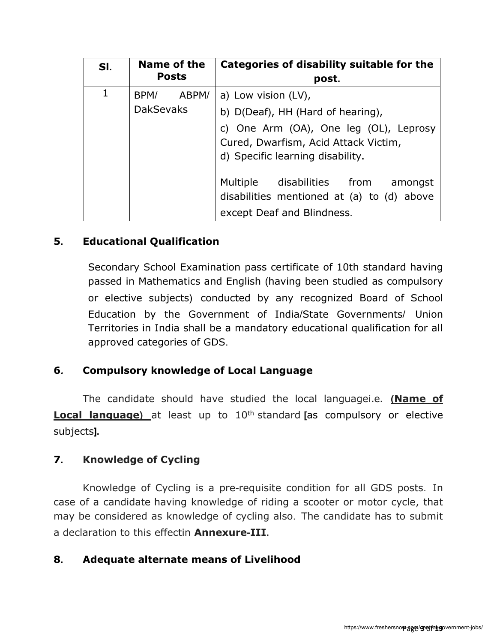| SI.                                    | Name of the<br><b>Posts</b> | Categories of disability suitable for the<br>post.                                                                                                                             |  |  |  |
|----------------------------------------|-----------------------------|--------------------------------------------------------------------------------------------------------------------------------------------------------------------------------|--|--|--|
| 1<br>ABPM/<br>BPM/<br><b>DakSevaks</b> |                             | a) Low vision (LV),<br>b) D(Deaf), HH (Hard of hearing),<br>c) One Arm (OA), One leg (OL), Leprosy<br>Cured, Dwarfism, Acid Attack Victim,<br>d) Specific learning disability. |  |  |  |
|                                        |                             | Multiple disabilities from<br>amongst<br>disabilities mentioned at (a) to (d) above<br>except Deaf and Blindness.                                                              |  |  |  |

# **5. Educational Qualification**

Secondary School Examination pass certificate of 10th standard having passed in Mathematics and English (having been studied as compulsory or elective subjects) conducted by any recognized Board of School Education by the Government of India/State Governments/ Union Territories in India shall be a mandatory educational qualification for all approved categories of GDS.

# **6. Compulsory knowledge of Local Language**

The candidate should have studied the local languagei**.**e**. (Name of Local language**) at least up to 10<sup>th</sup> standard [as compulsory or elective subjects**].** 

#### **7. Knowledge of Cycling**

Knowledge of Cycling is a pre-requisite condition for all GDS posts. In case of a candidate having knowledge of riding a scooter or motor cycle, that may be considered as knowledge of cycling also. The candidate has to submit a declaration to this effectin **Annexure-III.**

#### **8. Adequate alternate means of Livelihood**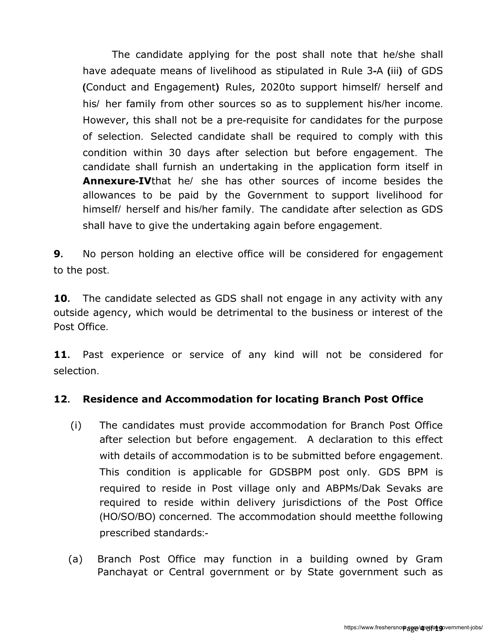The candidate applying for the post shall note that he/she shall have adequate means of livelihood as stipulated in Rule 3**-**A **(**iii**)** of GDS **(**Conduct and Engagement**)** Rules, 2020to support himself/ herself and his/ her family from other sources so as to supplement his/her income. However, this shall not be a pre-requisite for candidates for the purpose of selection. Selected candidate shall be required to comply with this condition within 30 days after selection but before engagement. The candidate shall furnish an undertaking in the application form itself in **Annexure-IV**that he/ she has other sources of income besides the allowances to be paid by the Government to support livelihood for himself/ herself and his/her family. The candidate after selection as GDS shall have to give the undertaking again before engagement.

**9.** No person holding an elective office will be considered for engagement to the post.

**10.** The candidate selected as GDS shall not engage in any activity with any outside agency, which would be detrimental to the business or interest of the Post Office.

**11.** Past experience or service of any kind will not be considered for selection.

# **12. Residence and Accommodation for locating Branch Post Office**

- (i) The candidates must provide accommodation for Branch Post Office after selection but before engagement. A declaration to this effect with details of accommodation is to be submitted before engagement. This condition is applicable for GDSBPM post only. GDS BPM is required to reside in Post village only and ABPMs/Dak Sevaks are required to reside within delivery jurisdictions of the Post Office (HO/SO/BO) concerned. The accommodation should meetthe following prescribed standards:-
- (a) Branch Post Office may function in a building owned by Gram Panchayat or Central government or by State government such as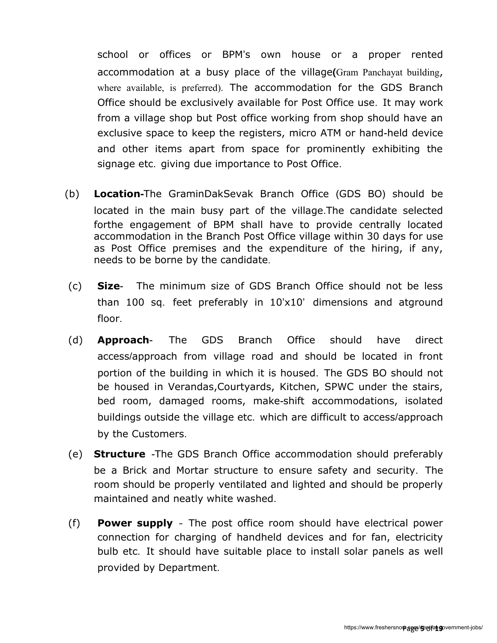school or offices or BPM's own house or a proper rented accommodation at a busy place of the village**(**Gram Panchayat building, where available, is preferred). The accommodation for the GDS Branch Office should be exclusively available for Post Office use. It may work from a village shop but Post office working from shop should have an exclusive space to keep the registers, micro ATM or hand-held device and other items apart from space for prominently exhibiting the signage etc. giving due importance to Post Office.

- (b) **Location-**The GraminDakSevak Branch Office (GDS BO) should be located in the main busy part of the village.The candidate selected forthe engagement of BPM shall have to provide centrally located accommodation in the Branch Post Office village within 30 days for use as Post Office premises and the expenditure of the hiring, if any, needs to be borne by the candidate.
- (c) **Size** The minimum size of GDS Branch Office should not be less than 100 sq. feet preferably in 10'x10' dimensions and atground floor.
- (d) **Approach** The GDS Branch Office should have direct access/approach from village road and should be located in front portion of the building in which it is housed. The GDS BO should not be housed in Verandas,Courtyards, Kitchen, SPWC under the stairs, bed room, damaged rooms, make-shift accommodations, isolated buildings outside the village etc. which are difficult to access/approach by the Customers.
- (e) **Structure** -The GDS Branch Office accommodation should preferably be a Brick and Mortar structure to ensure safety and security. The room should be properly ventilated and lighted and should be properly maintained and neatly white washed.
- (f) **Power supply** The post office room should have electrical power connection for charging of handheld devices and for fan, electricity bulb etc. It should have suitable place to install solar panels as well provided by Department.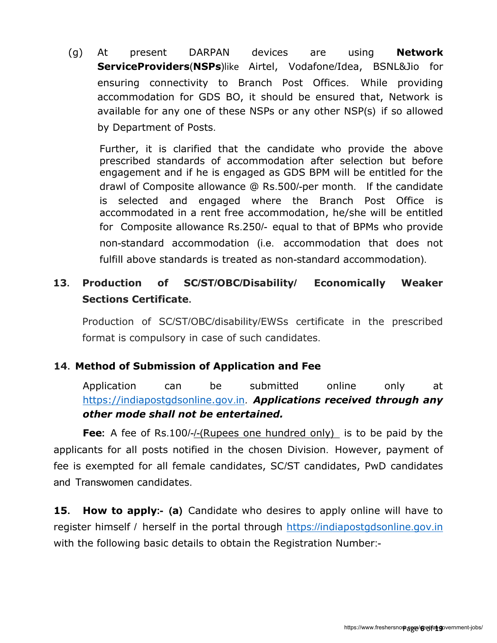(g) At present DARPAN devices are using **Network ServiceProviders**(**NSPs**)like Airtel, Vodafone/Idea, BSNL&Jio for ensuring connectivity to Branch Post Offices. While providing accommodation for GDS BO, it should be ensured that, Network is available for any one of these NSPs or any other NSP(s) if so allowed by Department of Posts.

Further, it is clarified that the candidate who provide the above prescribed standards of accommodation after selection but before engagement and if he is engaged as GDS BPM will be entitled for the drawl of Composite allowance @ Rs.500/-per month. If the candidate is selected and engaged where the Branch Post Office is accommodated in a rent free accommodation, he/she will be entitled for Composite allowance Rs.250/- equal to that of BPMs who provide non-standard accommodation (i.e. accommodation that does not fulfill above standards is treated as non-standard accommodation).

# **13. Production of SC/ST/OBC/Disability/ Economically Weaker Sections Certificate.**

Production of SC/ST/OBC/disability/EWSs certificate in the prescribed format is compulsory in case of such candidates.

# **14. Method of Submission of Application and Fee**

Application can be submitted online only at [https://indiapostgdsonline.gov](https://indiapostgdsonline.gov.in/).in. *Applications received through any other mode shall not be entertained.*

**Fee:** A fee of Rs.100/-/-(Rupees one hundred only) is to be paid by the applicants for all posts notified in the chosen Division. However, payment of fee is exempted for all female candidates, SC/ST candidates, PwD candidates and Transwomen candidates.

**15. How to apply:- (a)** Candidate who desires to apply online will have to register himself / herself in the portal through https://[indiapostgdsonline](https://indiapostgdsonline.gov.in/).gov.in with the following basic details to obtain the Registration Number:-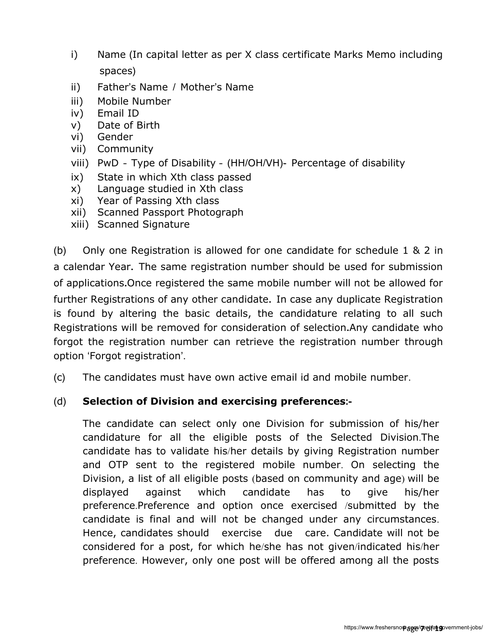- i) Name (In capital letter as per X class certificate Marks Memo including spaces)
- ii) Father's Name / Mother's Name
- iii) Mobile Number
- iv) Email ID
- v) Date of Birth
- vi) Gender
- vii) Community
- viii) PwD Type of Disability (HH/OH/VH)- Percentage of disability
- ix) State in which Xth class passed
- x) Language studied in Xth class
- xi) Year of Passing Xth class
- xii) Scanned Passport Photograph
- xiii) Scanned Signature

(b) Only one Registration is allowed for one candidate for schedule 1 & 2 in a calendar Year**.** The same registration number should be used for submission of applications**.**Once registered the same mobile number will not be allowed for further Registrations of any other candidate**.** In case any duplicate Registration is found by altering the basic details, the candidature relating to all such Registrations will be removed for consideration of selection**.**Any candidate who forgot the registration number can retrieve the registration number through option 'Forgot registration'.

(c) The candidates must have own active email id and mobile number.

#### (d) **Selection of Division and exercising preferences:-**

The candidate can select only one Division for submission of his/her candidature for all the eligible posts of the Selected Division.The candidate has to validate his/her details by giving Registration number and OTP sent to the registered mobile number. On selecting the Division, a list of all eligible posts (based on community and age) will be displayed against which candidate has to give his/her preference.Preference and option once exercised /submitted by the candidate is final and will not be changed under any circumstances. Hence, candidates should exercise due care. Candidate will not be considered for a post, for which he/she has not given/indicated his/her preference. However, only one post will be offered among all the posts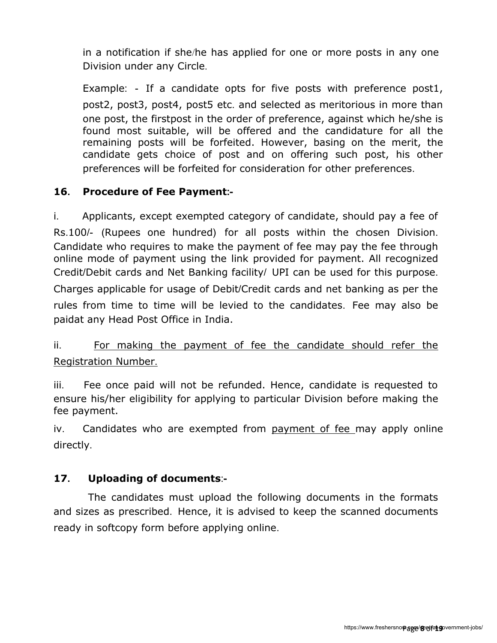in a notification if she/he has applied for one or more posts in any one Division under any Circle.

Example: - If a candidate opts for five posts with preference post1, post2, post3, post4, post5 etc. and selected as meritorious in more than one post, the firstpost in the order of preference, against which he/she is found most suitable, will be offered and the candidature for all the remaining posts will be forfeited. However, basing on the merit, the candidate gets choice of post and on offering such post, his other preferences will be forfeited for consideration for other preferences.

### **16. Procedure of Fee Payment:-**

i. Applicants, except exempted category of candidate, should pay a fee of Rs.100/- (Rupees one hundred) for all posts within the chosen Division. Candidate who requires to make the payment of fee may pay the fee through online mode of payment using the link provided for payment. All recognized Credit/Debit cards and Net Banking facility/ UPI can be used for this purpose. Charges applicable for usage of Debit/Credit cards and net banking as per the rules from time to time will be levied to the candidates. Fee may also be paidat any Head Post Office in India.

# ii. For making the payment of fee the candidate should refer the Registration Number.

iii. Fee once paid will not be refunded. Hence, candidate is requested to ensure his/her eligibility for applying to particular Division before making the fee payment.

iv. Candidates who are exempted from payment of fee may apply online directly.

# **17. Uploading of documents**:**-**

The candidates must upload the following documents in the formats and sizes as prescribed. Hence, it is advised to keep the scanned documents ready in softcopy form before applying online.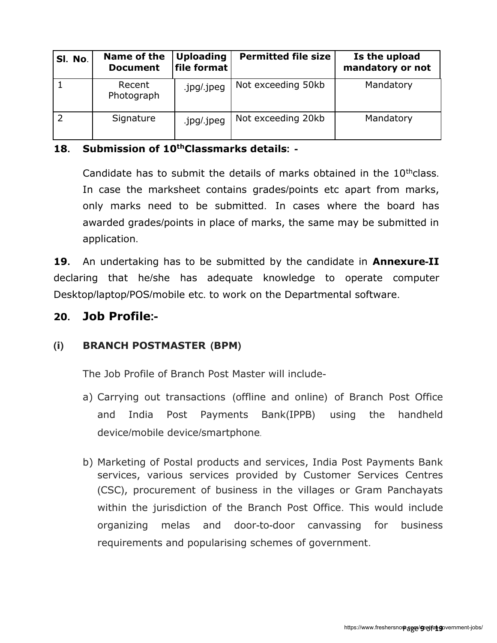| SI. No. | Name of the<br><b>Document</b> | <b>Uploading</b><br>file format | <b>Permitted file size</b> | Is the upload<br>mandatory or not |
|---------|--------------------------------|---------------------------------|----------------------------|-----------------------------------|
|         | Recent<br>Photograph           | .jpg/.jpeg                      | Not exceeding 50kb         | Mandatory                         |
|         | Signature                      | .jpg/.jpeg                      | Not exceeding 20kb         | Mandatory                         |

### **18. Submission of 10thClassmarks details: -**

Candidate has to submit the details of marks obtained in the  $10<sup>th</sup>$ class. In case the marksheet contains grades/points etc apart from marks, only marks need to be submitted. In cases where the board has awarded grades/points in place of marks, the same may be submitted in application.

**19.** An undertaking has to be submitted by the candidate in **Annexure-II**  declaring that he/she has adequate knowledge to operate computer Desktop/laptop/POS/mobile etc. to work on the Departmental software.

# **20. Job Profile:-**

# **(i) BRANCH POSTMASTER (BPM)**

The Job Profile of Branch Post Master will include-

- a) Carrying out transactions (offline and online) of Branch Post Office and India Post Payments Bank(IPPB) using the handheld device/mobile device/smartphone.
- b) Marketing of Postal products and services, India Post Payments Bank services, various services provided by Customer Services Centres (CSC), procurement of business in the villages or Gram Panchayats within the jurisdiction of the Branch Post Office. This would include organizing melas and door-to-door canvassing for business requirements and popularising schemes of government.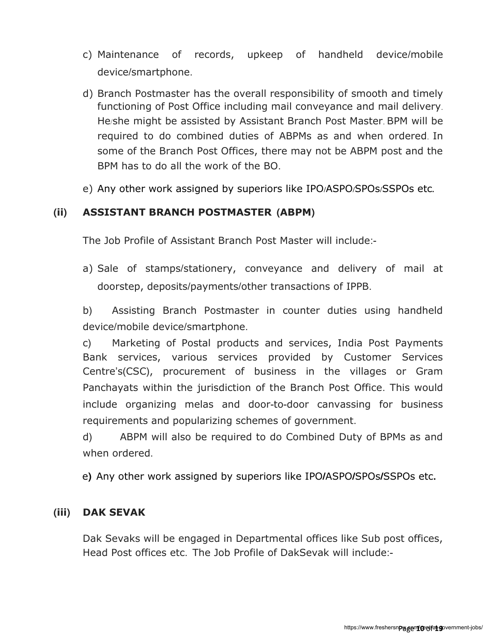- c) Maintenance of records, upkeep of handheld device/mobile device/smartphone.
- d) Branch Postmaster has the overall responsibility of smooth and timely functioning of Post Office including mail conveyance and mail delivery. He/she might be assisted by Assistant Branch Post Master. BPM will be required to do combined duties of ABPMs as and when ordered. In some of the Branch Post Offices, there may not be ABPM post and the BPM has to do all the work of the BO.
- e) Any other work assigned by superiors like IPO**/**ASPO**/**SPOs**/**SSPOs etc**.**

#### **(ii) ASSISTANT BRANCH POSTMASTER (ABPM)**

The Job Profile of Assistant Branch Post Master will include:-

a) Sale of stamps/stationery, conveyance and delivery of mail at doorstep, deposits/payments/other transactions of IPPB.

b) Assisting Branch Postmaster in counter duties using handheld device/mobile device/smartphone.

c) Marketing of Postal products and services, India Post Payments Bank services, various services provided by Customer Services Centre's(CSC), procurement of business in the villages or Gram Panchayats within the jurisdiction of the Branch Post Office. This would include organizing melas and door-to-door canvassing for business requirements and popularizing schemes of government.

d) ABPM will also be required to do Combined Duty of BPMs as and when ordered.

e**)** Any other work assigned by superiors like IPO**/**ASPO**/**SPOs**/**SSPOs etc**.**

#### **(iii) DAK SEVAK**

Dak Sevaks will be engaged in Departmental offices like Sub post offices, Head Post offices etc. The Job Profile of DakSevak will include:-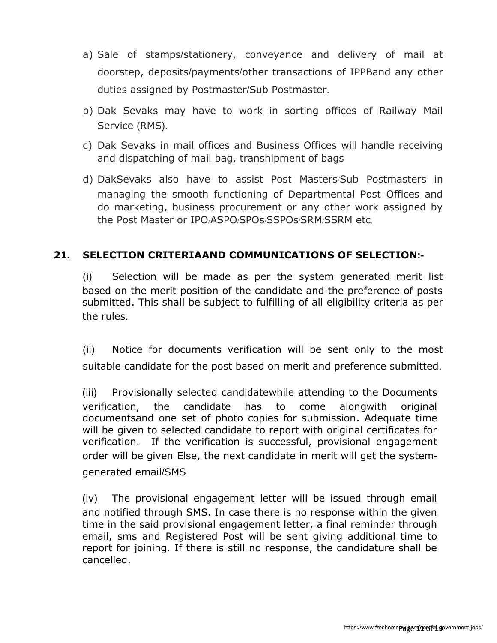- a) Sale of stamps/stationery, conveyance and delivery of mail at doorstep, deposits/payments/other transactions of IPPBand any other duties assigned by Postmaster/Sub Postmaster.
- b) Dak Sevaks may have to work in sorting offices of Railway Mail Service (RMS).
- c) Dak Sevaks in mail offices and Business Offices will handle receiving and dispatching of mail bag, transhipment of bags
- d) DakSevaks also have to assist Post Masters/Sub Postmasters in managing the smooth functioning of Departmental Post Offices and do marketing, business procurement or any other work assigned by the Post Master or IPO/ASPO/SPOs/SSPOs/SRM/SSRM etc.

#### **21. SELECTION CRITERIAAND COMMUNICATIONS OF SELECTION:-**

(i) Selection will be made as per the system generated merit list based on the merit position of the candidate and the preference of posts submitted. This shall be subject to fulfilling of all eligibility criteria as per the rules.

(ii) Notice for documents verification will be sent only to the most suitable candidate for the post based on merit and preference submitted.

(iii) Provisionally selected candidatewhile attending to the Documents verification, the candidate has to come alongwith original documentsand one set of photo copies for submission. Adequate time will be given to selected candidate to report with original certificates for verification. If the verification is successful, provisional engagement order will be given. Else, the next candidate in merit will get the systemgenerated email/SMS.

(iv) The provisional engagement letter will be issued through email and notified through SMS. In case there is no response within the given time in the said provisional engagement letter, a final reminder through email, sms and Registered Post will be sent giving additional time to report for joining. If there is still no response, the candidature shall be cancelled.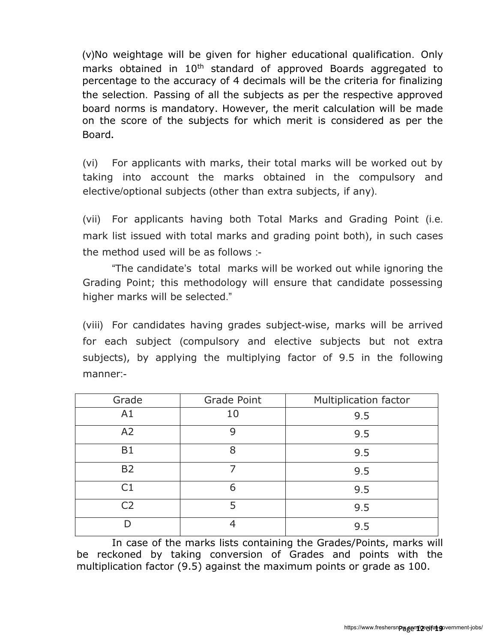(v)No weightage will be given for higher educational qualification. Only marks obtained in 10<sup>th</sup> standard of approved Boards aggregated to percentage to the accuracy of 4 decimals will be the criteria for finalizing the selection. Passing of all the subjects as per the respective approved board norms is mandatory. However, the merit calculation will be made on the score of the subjects for which merit is considered as per the Board**.**

(vi) For applicants with marks, their total marks will be worked out by taking into account the marks obtained in the compulsory and elective/optional subjects (other than extra subjects, if any).

(vii) For applicants having both Total Marks and Grading Point (i.e. mark list issued with total marks and grading point both), in such cases the method used will be as follows :-

"The candidate's total marks will be worked out while ignoring the Grading Point; this methodology will ensure that candidate possessing higher marks will be selected."

(viii) For candidates having grades subject-wise, marks will be arrived for each subject (compulsory and elective subjects but not extra subjects), by applying the multiplying factor of 9.5 in the following manner:-

| Grade          | Grade Point | <b>Multiplication factor</b> |  |  |
|----------------|-------------|------------------------------|--|--|
| A1             | 10          | 9.5                          |  |  |
| A <sub>2</sub> | 9           | 9.5                          |  |  |
| B1             | 8           | 9.5                          |  |  |
| <b>B2</b>      |             | 9.5                          |  |  |
| C1             | 6           | 9.5                          |  |  |
| C2             | 5           | 9.5                          |  |  |
|                |             | 9.5                          |  |  |

In case of the marks lists containing the Grades/Points, marks will be reckoned by taking conversion of Grades and points with the multiplication factor (9.5) against the maximum points or grade as 100.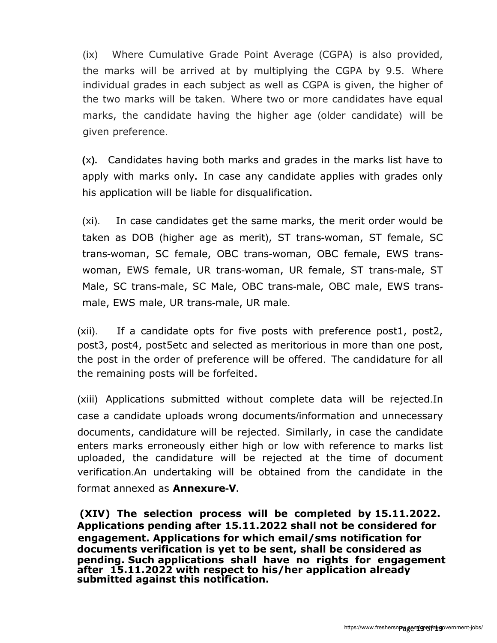(ix) Where Cumulative Grade Point Average (CGPA) is also provided, the marks will be arrived at by multiplying the CGPA by 9.5. Where individual grades in each subject as well as CGPA is given, the higher of the two marks will be taken. Where two or more candidates have equal marks, the candidate having the higher age (older candidate) will be given preference.

**(**x**).** Candidates having both marks and grades in the marks list have to apply with marks only**.** In case any candidate applies with grades only his application will be liable for disqualification**.**

(xi). In case candidates get the same marks, the merit order would be taken as DOB (higher age as merit), ST trans-woman, ST female, SC trans-woman, SC female, OBC trans-woman, OBC female, EWS transwoman, EWS female, UR trans-woman, UR female, ST trans-male, ST Male, SC trans-male, SC Male, OBC trans-male, OBC male, EWS transmale, EWS male, UR trans-male, UR male.

(xii). If a candidate opts for five posts with preference post1, post2, post3, post4, post5etc and selected as meritorious in more than one post, the post in the order of preference will be offered. The candidature for all the remaining posts will be forfeited.

(xiii) Applications submitted without complete data will be rejected.In case a candidate uploads wrong documents/information and unnecessary documents, candidature will be rejected. Similarly, in case the candidate enters marks erroneously either high or low with reference to marks list uploaded, the candidature will be rejected at the time of document verification.An undertaking will be obtained from the candidate in the format annexed as **Annexure-V.**

**(XIV) The selection process will be completed by 15.11.2022. Applications pending after 15.11.2022 shall not be considered for engagement. Applications for which email/sms notification for documents verification is yet to be sent, shall be considered as pending. Such applications shall have no rights for engagement after 15.11.2022 with respect to his/her application already submitted against this notification.**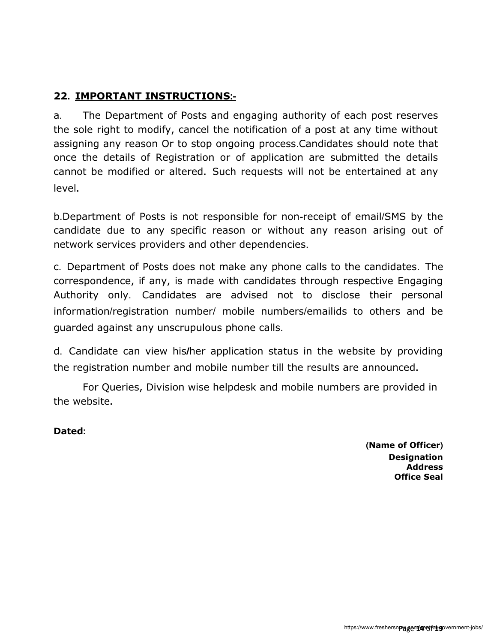# **22. IMPORTANT INSTRUCTIONS:-**

a. The Department of Posts and engaging authority of each post reserves the sole right to modify, cancel the notification of a post at any time without assigning any reason Or to stop ongoing process.Candidates should note that once the details of Registration or of application are submitted the details cannot be modified or altered**.** Such requests will not be entertained at any level**.** 

b.Department of Posts is not responsible for non-receipt of email/SMS by the candidate due to any specific reason or without any reason arising out of network services providers and other dependencies.

c. Department of Posts does not make any phone calls to the candidates. The correspondence, if any, is made with candidates through respective Engaging Authority only. Candidates are advised not to disclose their personal information/registration number/ mobile numbers/emailids to others and be guarded against any unscrupulous phone calls.

d. Candidate can view his**/**her application status in the website by providing the registration number and mobile number till the results are announced**.** 

For Queries, Division wise helpdesk and mobile numbers are provided in the website**.**

**Dated:** 

**(Name of Officer) Designation Address Office Seal**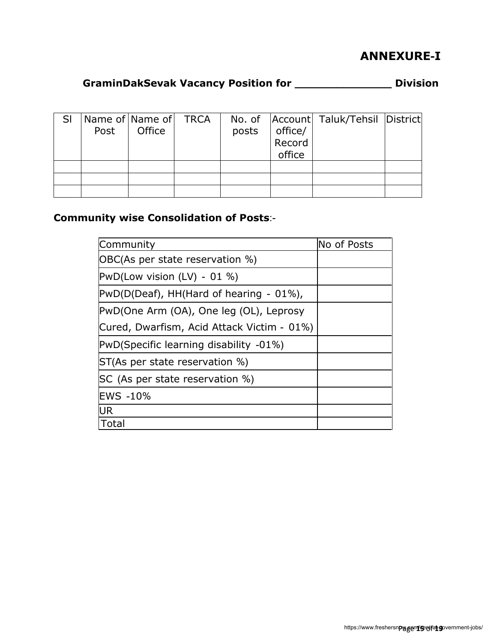# **ANNEXURE-I**

# **GraminDakSevak Vacancy Position for \_\_\_\_\_\_\_\_\_\_\_\_\_\_ Division**

| -SI | Post | Name of Name of TRCA<br>Office | posts | office/<br>Record<br>office | No. of   Account   Taluk/Tehsil   District |  |
|-----|------|--------------------------------|-------|-----------------------------|--------------------------------------------|--|
|     |      |                                |       |                             |                                            |  |
|     |      |                                |       |                             |                                            |  |
|     |      |                                |       |                             |                                            |  |

# **Community wise Consolidation of Posts**:-

| Community                                  | No of Posts |
|--------------------------------------------|-------------|
| OBC(As per state reservation %)            |             |
| $PWD$ (Low vision (LV) - 01 %)             |             |
| $PWD(D(eaf), HH(Hard of hearing - 01%),$   |             |
| PwD(One Arm (OA), One leg (OL), Leprosy    |             |
| Cured, Dwarfism, Acid Attack Victim - 01%) |             |
| PwD(Specific learning disability -01%)     |             |
| ST(As per state reservation %)             |             |
| SC (As per state reservation %)            |             |
| <b>EWS -10%</b>                            |             |
| UR                                         |             |
| Total                                      |             |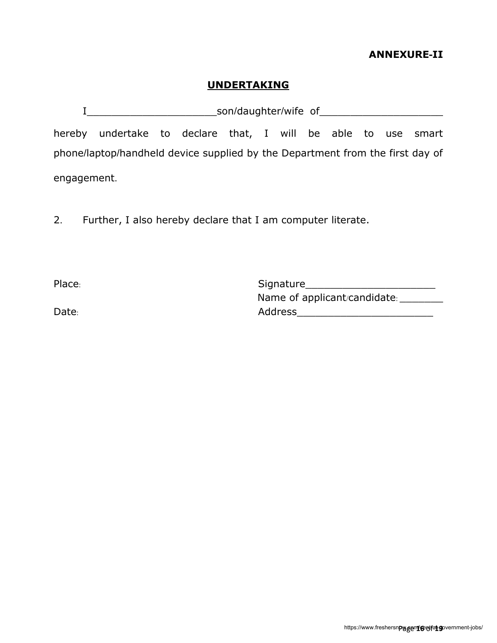#### **ANNEXURE-II**

#### **UNDERTAKING**

I\_\_\_\_\_\_\_\_\_\_\_\_\_\_\_\_\_\_\_\_\_son/daughter/wife of\_\_\_\_\_\_\_\_\_\_\_\_\_\_\_\_\_\_\_\_

hereby undertake to declare that, I will be able to use smart phone/laptop/handheld device supplied by the Department from the first day of engagement.

2. Further, I also hereby declare that I am computer literate.

Place: etc. 2014 and 2014 and 2014 and 2014 and 2014 and 2014 and 2014 and 2014 and 2014 and 2014 and 2014 and Name of applicant/candidate: \_\_\_\_\_\_\_\_ Date: etc. and the contract of the Address and Address and the contract of the contract of the contract of the contract of the contract of the contract of the contract of the contract of the contract of the contract of the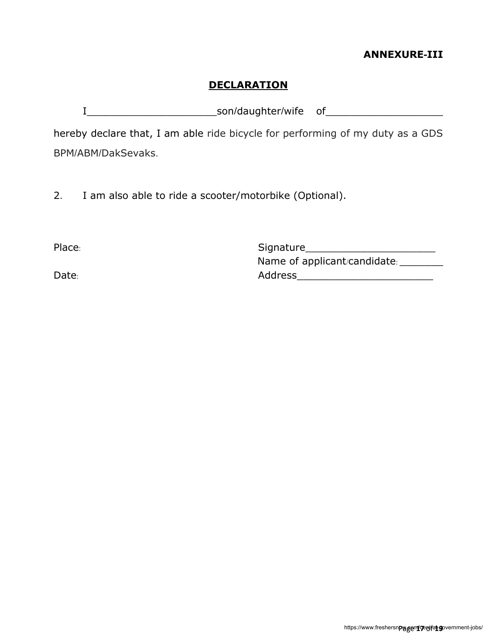### **ANNEXURE-III**

#### **DECLARATION**

I\_\_\_\_\_\_\_\_\_\_\_\_\_\_\_\_\_\_\_\_\_son/daughter/wife of\_\_\_\_\_\_\_\_\_\_\_\_\_\_\_\_\_\_\_

hereby declare that, I am able ride bicycle for performing of my duty as a GDS BPM/ABM/DakSevaks.

2. I am also able to ride a scooter/motorbike (Optional).

Place: 2008 2014 2014 2015 2016 2017 2018 2019 2014 2015 2016 2017 2018 2019 2019 2017 2018 2019 2019 2017 201 Name of applicant/candidate: \_\_\_\_\_\_\_\_ Date: etc. and the contract of the Address Address and the contract of the contract of the contract of the contract of the contract of the contract of the contract of the contract of the contract of the contract of the con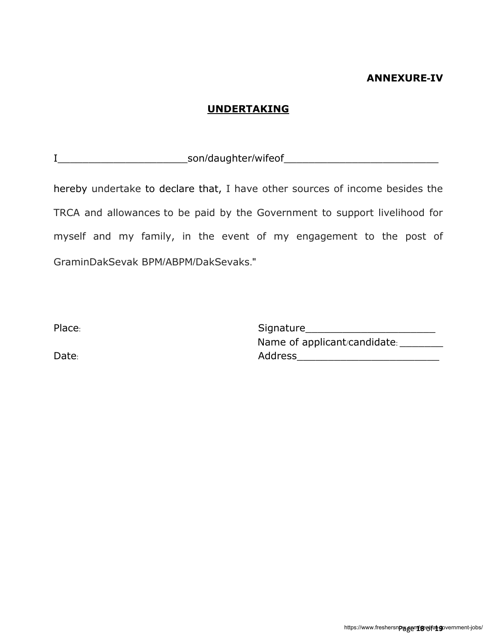#### **ANNEXURE-IV**

#### **UNDERTAKING**

I\_\_\_\_\_\_\_\_\_\_\_\_\_\_\_\_\_\_\_\_\_son/daughter/wifeof\_\_\_\_\_\_\_\_\_\_\_\_\_\_\_\_\_\_\_\_\_\_\_\_\_

hereby undertake to declare that, I have other sources of income besides the TRCA and allowances to be paid by the Government to support livelihood for myself and my family, in the event of my engagement to the post of GraminDakSevak BPM/ABPM/DakSevaks."

Place: Signature\_\_\_\_\_\_\_\_\_\_\_\_\_\_\_\_\_\_\_\_\_ Name of applicant/candidate: \_\_\_\_\_\_\_ Date: etc. and the contract of the Address and Address and the contract of the contract of the contract of the contract of the contract of the contract of the contract of the contract of the contract of the contract of the